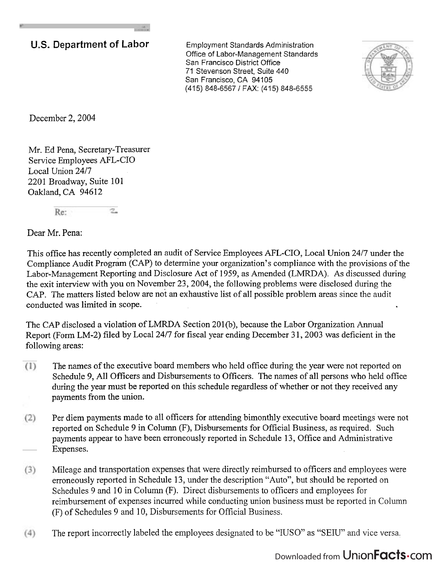## **U.S. Department of Labor** Employment Standards Administration

Office of Labor-Management Standards San Francisco District Office 71 Stevenson Street, Suite 440 San Francisco, CA 94105 (415) 848-6567 / FAX: (415) 848-6555



December 2,2004

Mr. Ed Pena, Secretary-Treasurer Service Employees AFL-CIO Local Union 24/7 2201 Broadway, Suite 101 Oakland, CA 94612

> $\overline{\mathbb{Z}}$  . Re:

Dear Mr. Pena:

This office has recently completed an audit of Service Employees AFL-CIO, Local Union 2417 under the Compliance Audit Program (CAP) to determine your organization's compliance with the provisions of the Labor-Management Reporting and Disclosure Act of 1959, as Amended (LMRDA). As discussed during the exit interview with you on November 23,2004, the following problems were disclosed during the CAP. The matters listed below are not an exhaustive list of all possible problem areas since the audit conducted was limited in scope.

The CAP disclosed a violation of LMRDA Section 201(b), because the Labor Organization Annual Report (Form LM-2) filed by Local 24/7 for fiscal year ending December 31, 2003 was deficient in the following areas:

- The names of the executive board members who held office during the year were not reported on  $(1)$ Schedule 9, All Officers and Disbursements to Officers. The names of all persons who held office during the year must be reported on this schedule regardless of whether or not they received any payments from the union.
- Per diem payments made to all officers for attending bimonthly executive board meetings were not  $(2)$ reported on Schedule 9 in Column (F), Disbursements for Official Business, as required. Such payments appear to have been erroneously reported in Schedule 13, Office and Administrative Expenses.
- Mileage and transportation expenses that were directly reimbursed to officers and employees were  $(3)$ erroneously reported in Schedule 13, under the description "Auto", but should be reported on Schedules 9 and 10 in Column (F). Direct disbursements to officers and employees for reimbursement of expenses incurred while conducting union business must be reported in Column (F) of Schedules 9 and 10, Disbursements for Official Business.
- The report incorrectly labeled the employees designated to be "IUSO" as "SEIU" and vice versa.  $(4)$

## Downloaded from Union**Facts**.com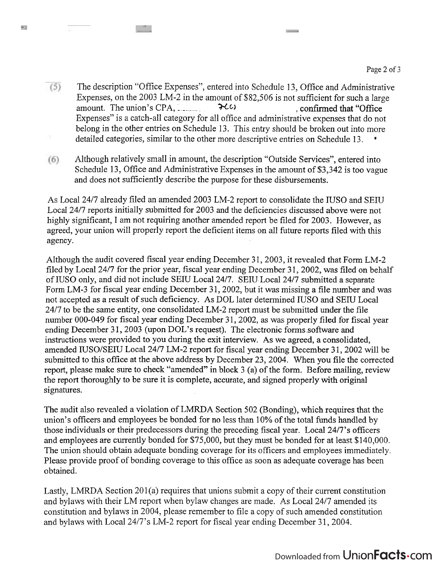$(5)$ The description "Office Expenses", entered into Schedule 13, Office and Administrative Expenses, on the 2003 LM-2 in the amount of \$82,506 is not sufficient for such a large amount. The union's CPA,  $\cdot$   $\rightarrow$ C $\cdot$ Expenses" is a catch-all category for all office and administrative expenses that do not belong in the other entries on Schedule 13. This entry should be broken out into more detailed categories, similar to the other more descriptive entries on Schedule 13.

**Contractor** 

u liftu

ms.

Although relatively small in amount, the description "Outside Services", entered into  $(6)$ Schedule 13, Office and Administrative Expenses in the amount of \$3,342 is too vague and does not sufficiently describe the purpose for these disbursements.

As Local 2417 already filed an amended 2003 LM-2 report to consolidate the IUSO and SEIU Local 2417 reports initially submitted for 2003 and the deficiencies discussed above were not highly significant, I am not requiring another amended report be filed for 2003. However, as agreed, your union will properly report the deficient items on all future reports filed with this agency.

Although the audit covered fiscal year ending December **3** 1,2003, it revealed that Form LM-2 filed by Local 24/7 for the prior year, fiscal year ending December 31, 2002, was filed on behalf of IUSO only, and did not include SEIU Local 2417. SEIU Local 2417 submitted a separate Form LM-3 for fiscal year ending December 31, 2002, but it was missing a file number and was not accepted as a result of such deficiency. As DOL later determined IUSO and SEIU Local 2417 to be the same entity, one consolidated LM-2 report must be submitted under the file number 000-049 for fiscal year ending December 31,2002, as was properly filed for fiscal year ending December 31, 2003 (upon DOL's request). The electronic forms software and instructions were provided to you during the exit interview. As we agreed, a consolidated, amended IUSO/SEIU Local 24/7 LM-2 report for fiscal year ending December 31, 2002 will be submitted to this office at the above address by December 23,2004. When you file the corrected report, please make sure to check "amended" in block 3 (a) of the form. Before mailing, review the report thoroughly to be sure it is complete, accurate, and signed properly with original signatures.

The audit also revealed a violation of LMRDA Section 502 (Bonding), which requires that the union's officers and employees be bonded for no less than 10% of the total funds handled by those individuals or their predecessors during the preceding fiscal year. Local 2417's officers and employees are currently bonded for \$75,000, but they must be bonded for at least \$140,000. The union should obtain adequate bonding coverage for its officers and employees immediately. Please provide proof of bonding coverage to this office as soon as adequate coverage has been obtained.

Lastly, LMRDA Section  $201(a)$  requires that unions submit a copy of their current constitution and bylaws with their LM report when bylaw changes are made. As Local 2417 amended its constitution and bylaws in 2004, please remember to file a copy of such amended constitution and bylaws with Local 24/7's LM-2 report for fiscal year ending December 31, 2004.